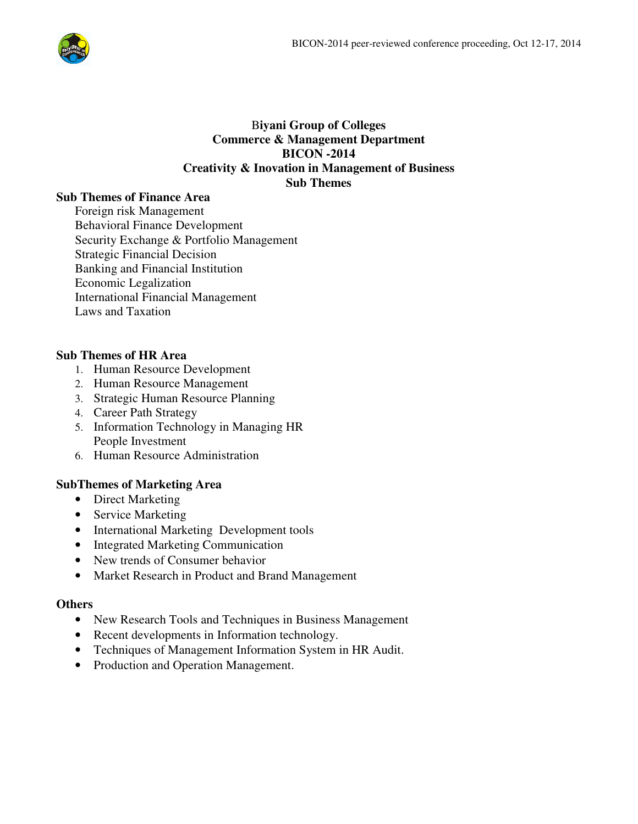

# B**iyani Group of Colleges Commerce & Management Department BICON -2014 Creativity & Inovation in Management of Business Sub Themes**

# **Sub Themes of Finance Area**

Foreign risk Management Behavioral Finance Development Security Exchange & Portfolio Management Strategic Financial Decision Banking and Financial Institution Economic Legalization International Financial Management Laws and Taxation

# **Sub Themes of HR Area**

- 1. Human Resource Development
- 2. Human Resource Management
- 3. Strategic Human Resource Planning
- 4. Career Path Strategy
- 5. Information Technology in Managing HR People Investment
- 6. Human Resource Administration

# **SubThemes of Marketing Area**

- Direct Marketing
- Service Marketing
- International Marketing Development tools
- Integrated Marketing Communication
- New trends of Consumer behavior
- Market Research in Product and Brand Management

### **Others**

- New Research Tools and Techniques in Business Management
- Recent developments in Information technology.
- Techniques of Management Information System in HR Audit.
- Production and Operation Management.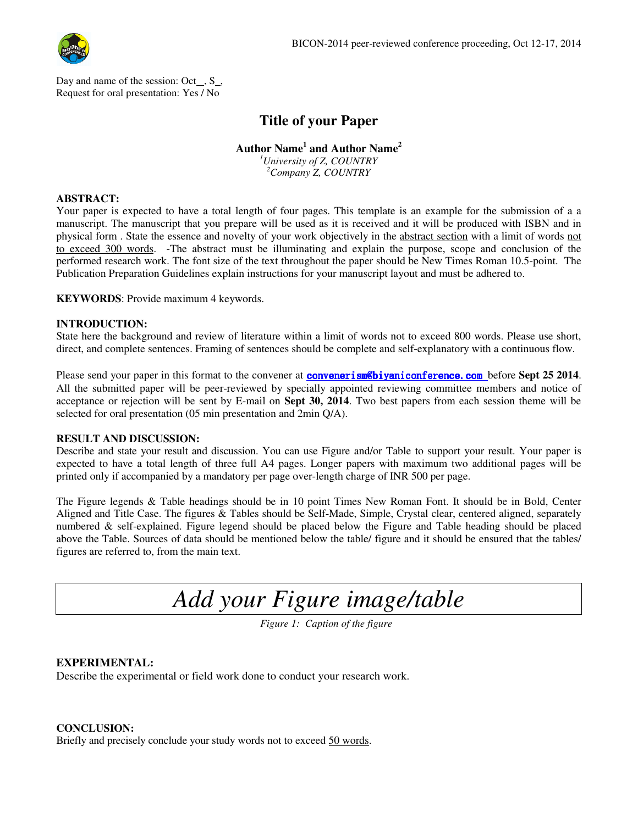

Day and name of the session:  $Oct_$ ,  $S_$ , Request for oral presentation: Yes / No

# **Title of your Paper**

# **Author Name<sup>1</sup> and Author Name<sup>2</sup>**

*<sup>1</sup>University of Z, COUNTRY <sup>2</sup>Company Z, COUNTRY*

#### **ABSTRACT:**

Your paper is expected to have a total length of four pages. This template is an example for the submission of a a manuscript. The manuscript that you prepare will be used as it is received and it will be produced with ISBN and in physical form . State the essence and novelty of your work objectively in the abstract section with a limit of words not to exceed 300 words. -The abstract must be illuminating and explain the purpose, scope and conclusion of the performed research work. The font size of the text throughout the paper should be New Times Roman 10.5-point. The Publication Preparation Guidelines explain instructions for your manuscript layout and must be adhered to.

**KEYWORDS**: Provide maximum 4 keywords.

#### **INTRODUCTION:**

State here the background and review of literature within a limit of words not to exceed 800 words. Please use short, direct, and complete sentences. Framing of sentences should be complete and self-explanatory with a continuous flow.

Please send your paper in this format to the convener at convenerism<sup>o</sup>biyaniconference.com before Sept 25 2014. All the submitted paper will be peer-reviewed by specially appointed reviewing committee members and notice of acceptance or rejection will be sent by E-mail on **Sept 30, 2014**. Two best papers from each session theme will be selected for oral presentation (05 min presentation and 2min Q/A).

#### **RESULT AND DISCUSSION:**

Describe and state your result and discussion. You can use Figure and/or Table to support your result. Your paper is expected to have a total length of three full A4 pages. Longer papers with maximum two additional pages will be printed only if accompanied by a mandatory per page over-length charge of INR 500 per page.

The Figure legends & Table headings should be in 10 point Times New Roman Font. It should be in Bold, Center Aligned and Title Case. The figures & Tables should be Self-Made, Simple, Crystal clear, centered aligned, separately numbered & self-explained. Figure legend should be placed below the Figure and Table heading should be placed above the Table. Sources of data should be mentioned below the table/ figure and it should be ensured that the tables/ figures are referred to, from the main text.

*Add your Figure image/table*

*Figure 1: Caption of the figure*

#### **EXPERIMENTAL:**

Describe the experimental or field work done to conduct your research work.

#### **CONCLUSION:**

Briefly and precisely conclude your study words not to exceed 50 words.